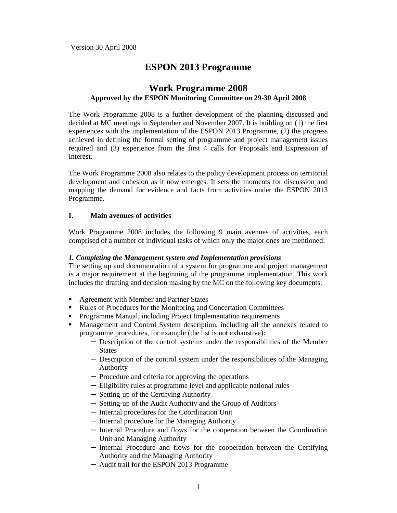# **ESPON 2013 Programme**

# **Work Programme 2008 Approved by the ESPON Monitoring Committee on 29-30 April 2008**

The Work Programme 2008 is a further development of the planning discussed and decided at MC meetings in September and November 2007. It is building on (1) the first experiences with the implementation of the ESPON 2013 Programme, (2) the progress achieved in defining the formal setting of programme and project management issues required and (3) experience from the first 4 calls for Proposals and Expression of Interest.

The Work Programme 2008 also relates to the policy development process on territorial development and cohesion as it now emerges. It sets the moments for discussion and mapping the demand for evidence and facts from activities under the ESPON 2013 Programme.

#### **I. Main avenues of activities**

Work Programme 2008 includes the following 9 main avenues of activities, each comprised of a number of individual tasks of which only the major ones are mentioned:

#### *1. Completing the Management system and Implementation provisions*

The setting up and documentation of a system for programme and project management is a major requirement at the beginning of the programme implementation. This work includes the drafting and decision making by the MC on the following key documents:

- Agreement with Member and Partner States
- Rules of Procedures for the Monitoring and Concertation Committees
- **Programme Manual, including Project Implementation requirements**
- Management and Control System description, including all the annexes related to programme procedures, for example (the list is not exhaustive):
	- − Description of the control systems under the responsibilities of the Member States
	- − Description of the control system under the responsibilities of the Managing Authority
	- − Procedure and criteria for approving the operations
	- − Eligibility rules at programme level and applicable national rules
	- − Setting-up of the Certifying Authority
	- − Setting-up of the Audit Authority and the Group of Auditors
	- − Internal procedures for the Coordination Unit
	- − Internal procedure for the Managing Authority
	- − Internal Procedure and flows for the cooperation between the Coordination Unit and Managing Authority
	- − Internal Procedure and flows for the cooperation between the Certifying Authority and the Managing Authority
	- − Audit trail for the ESPON 2013 Programme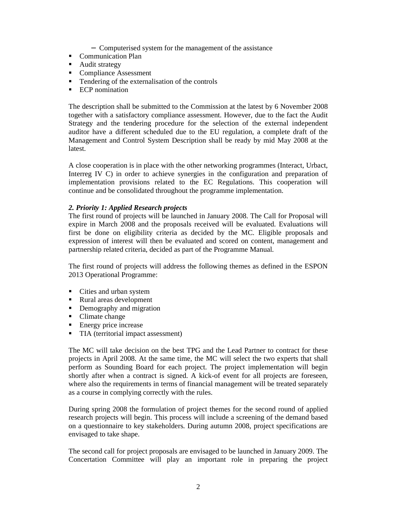- − Computerised system for the management of the assistance
- Communication Plan
- Audit strategy
- Compliance Assessment
- **Tendering of the externalisation of the controls**
- **ECP** nomination

The description shall be submitted to the Commission at the latest by 6 November 2008 together with a satisfactory compliance assessment. However, due to the fact the Audit Strategy and the tendering procedure for the selection of the external independent auditor have a different scheduled due to the EU regulation, a complete draft of the Management and Control System Description shall be ready by mid May 2008 at the latest.

A close cooperation is in place with the other networking programmes (Interact, Urbact, Interreg IV C) in order to achieve synergies in the configuration and preparation of implementation provisions related to the EC Regulations. This cooperation will continue and be consolidated throughout the programme implementation.

#### *2. Priority 1: Applied Research projects*

The first round of projects will be launched in January 2008. The Call for Proposal will expire in March 2008 and the proposals received will be evaluated. Evaluations will first be done on eligibility criteria as decided by the MC. Eligible proposals and expression of interest will then be evaluated and scored on content, management and partnership related criteria, decided as part of the Programme Manual.

The first round of projects will address the following themes as defined in the ESPON 2013 Operational Programme:

- Cities and urban system
- Rural areas development
- Demography and migration
- Climate change
- **Energy price increase**
- TIA (territorial impact assessment)

The MC will take decision on the best TPG and the Lead Partner to contract for these projects in April 2008. At the same time, the MC will select the two experts that shall perform as Sounding Board for each project. The project implementation will begin shortly after when a contract is signed. A kick-of event for all projects are foreseen, where also the requirements in terms of financial management will be treated separately as a course in complying correctly with the rules.

During spring 2008 the formulation of project themes for the second round of applied research projects will begin. This process will include a screening of the demand based on a questionnaire to key stakeholders. During autumn 2008, project specifications are envisaged to take shape.

The second call for project proposals are envisaged to be launched in January 2009. The Concertation Committee will play an important role in preparing the project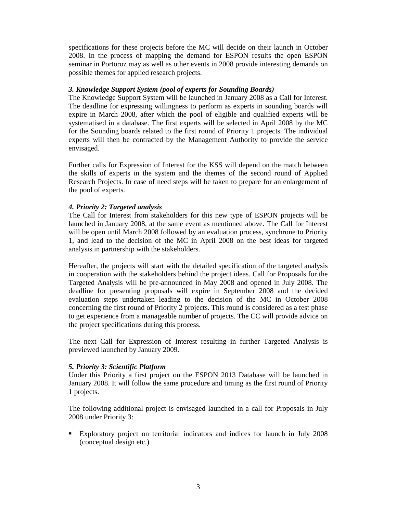specifications for these projects before the MC will decide on their launch in October 2008. In the process of mapping the demand for ESPON results the open ESPON seminar in Portoroz may as well as other events in 2008 provide interesting demands on possible themes for applied research projects.

#### *3. Knowledge Support System (pool of experts for Sounding Boards)*

The Knowledge Support System will be launched in January 2008 as a Call for Interest. The deadline for expressing willingness to perform as experts in sounding boards will expire in March 2008, after which the pool of eligible and qualified experts will be systematised in a database. The first experts will be selected in April 2008 by the MC for the Sounding boards related to the first round of Priority 1 projects. The individual experts will then be contracted by the Management Authority to provide the service envisaged.

Further calls for Expression of Interest for the KSS will depend on the match between the skills of experts in the system and the themes of the second round of Applied Research Projects. In case of need steps will be taken to prepare for an enlargement of the pool of experts.

# *4. Priority 2: Targeted analysis*

The Call for Interest from stakeholders for this new type of ESPON projects will be launched in January 2008, at the same event as mentioned above. The Call for Interest will be open until March 2008 followed by an evaluation process, synchrone to Priority 1, and lead to the decision of the MC in April 2008 on the best ideas for targeted analysis in partnership with the stakeholders.

Hereafter, the projects will start with the detailed specification of the targeted analysis in cooperation with the stakeholders behind the project ideas. Call for Proposals for the Targeted Analysis will be pre-announced in May 2008 and opened in July 2008. The deadline for presenting proposals will expire in September 2008 and the decided evaluation steps undertaken leading to the decision of the MC in October 2008 concerning the first round of Priority 2 projects. This round is considered as a test phase to get experience from a manageable number of projects. The CC will provide advice on the project specifications during this process.

The next Call for Expression of Interest resulting in further Targeted Analysis is previewed launched by January 2009.

# *5. Priority 3: Scientific Platform*

Under this Priority a first project on the ESPON 2013 Database will be launched in January 2008. It will follow the same procedure and timing as the first round of Priority 1 projects.

The following additional project is envisaged launched in a call for Proposals in July 2008 under Priority 3:

 Exploratory project on territorial indicators and indices for launch in July 2008 (conceptual design etc.)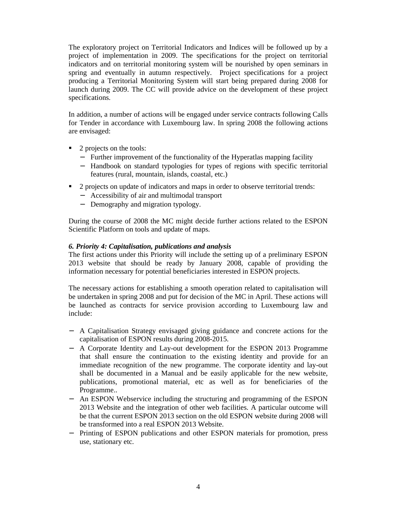The exploratory project on Territorial Indicators and Indices will be followed up by a project of implementation in 2009. The specifications for the project on territorial indicators and on territorial monitoring system will be nourished by open seminars in spring and eventually in autumn respectively. Project specifications for a project producing a Territorial Monitoring System will start being prepared during 2008 for launch during 2009. The CC will provide advice on the development of these project specifications.

In addition, a number of actions will be engaged under service contracts following Calls for Tender in accordance with Luxembourg law. In spring 2008 the following actions are envisaged:

- 2 projects on the tools:
	- − Further improvement of the functionality of the Hyperatlas mapping facility
	- − Handbook on standard typologies for types of regions with specific territorial features (rural, mountain, islands, coastal, etc.)
- **2** projects on update of indicators and maps in order to observe territorial trends:
	- − Accessibility of air and multimodal transport
	- − Demography and migration typology.

During the course of 2008 the MC might decide further actions related to the ESPON Scientific Platform on tools and update of maps.

## *6. Priority 4: Capitalisation, publications and analysis*

The first actions under this Priority will include the setting up of a preliminary ESPON 2013 website that should be ready by January 2008, capable of providing the information necessary for potential beneficiaries interested in ESPON projects.

The necessary actions for establishing a smooth operation related to capitalisation will be undertaken in spring 2008 and put for decision of the MC in April. These actions will be launched as contracts for service provision according to Luxembourg law and include:

- − A Capitalisation Strategy envisaged giving guidance and concrete actions for the capitalisation of ESPON results during 2008-2015.
- − A Corporate Identity and Lay-out development for the ESPON 2013 Programme that shall ensure the continuation to the existing identity and provide for an immediate recognition of the new programme. The corporate identity and lay-out shall be documented in a Manual and be easily applicable for the new website, publications, promotional material, etc as well as for beneficiaries of the Programme..
- − An ESPON Webservice including the structuring and programming of the ESPON 2013 Website and the integration of other web facilities. A particular outcome will be that the current ESPON 2013 section on the old ESPON website during 2008 will be transformed into a real ESPON 2013 Website.
- − Printing of ESPON publications and other ESPON materials for promotion, press use, stationary etc.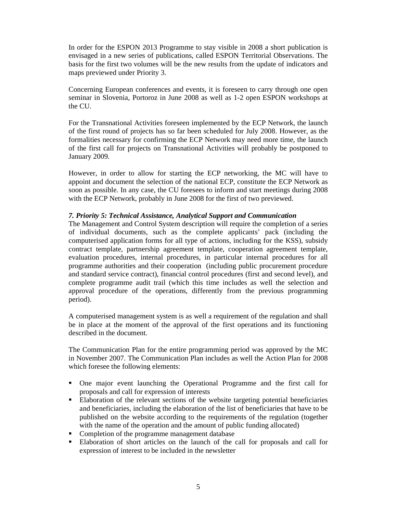In order for the ESPON 2013 Programme to stay visible in 2008 a short publication is envisaged in a new series of publications, called ESPON Territorial Observations. The basis for the first two volumes will be the new results from the update of indicators and maps previewed under Priority 3.

Concerning European conferences and events, it is foreseen to carry through one open seminar in Slovenia, Portoroz in June 2008 as well as 1-2 open ESPON workshops at the CU.

For the Transnational Activities foreseen implemented by the ECP Network, the launch of the first round of projects has so far been scheduled for July 2008. However, as the formalities necessary for confirming the ECP Network may need more time, the launch of the first call for projects on Transnational Activities will probably be postponed to January 2009.

However, in order to allow for starting the ECP networking, the MC will have to appoint and document the selection of the national ECP, constitute the ECP Network as soon as possible. In any case, the CU foresees to inform and start meetings during 2008 with the ECP Network, probably in June 2008 for the first of two previewed.

#### *7. Priority 5: Technical Assistance, Analytical Support and Communication*

The Management and Control System description will require the completion of a series of individual documents, such as the complete applicants' pack (including the computerised application forms for all type of actions, including for the KSS), subsidy contract template, partnership agreement template, cooperation agreement template, evaluation procedures, internal procedures, in particular internal procedures for all programme authorities and their cooperation (including public procurement procedure and standard service contract), financial control procedures (first and second level), and complete programme audit trail (which this time includes as well the selection and approval procedure of the operations, differently from the previous programming period).

A computerised management system is as well a requirement of the regulation and shall be in place at the moment of the approval of the first operations and its functioning described in the document.

The Communication Plan for the entire programming period was approved by the MC in November 2007. The Communication Plan includes as well the Action Plan for 2008 which foresee the following elements:

- One major event launching the Operational Programme and the first call for proposals and call for expression of interests
- Elaboration of the relevant sections of the website targeting potential beneficiaries and beneficiaries, including the elaboration of the list of beneficiaries that have to be published on the website according to the requirements of the regulation (together with the name of the operation and the amount of public funding allocated)
- Completion of the programme management database
- Elaboration of short articles on the launch of the call for proposals and call for expression of interest to be included in the newsletter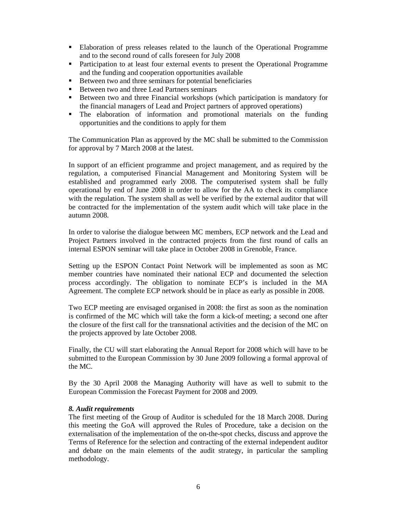- Elaboration of press releases related to the launch of the Operational Programme and to the second round of calls foreseen for July 2008
- Participation to at least four external events to present the Operational Programme and the funding and cooperation opportunities available
- Between two and three seminars for potential beneficiaries
- Between two and three Lead Partners seminars
- Between two and three Financial workshops (which participation is mandatory for the financial managers of Lead and Project partners of approved operations)
- The elaboration of information and promotional materials on the funding opportunities and the conditions to apply for them

The Communication Plan as approved by the MC shall be submitted to the Commission for approval by 7 March 2008 at the latest.

In support of an efficient programme and project management, and as required by the regulation, a computerised Financial Management and Monitoring System will be established and programmed early 2008. The computerised system shall be fully operational by end of June 2008 in order to allow for the AA to check its compliance with the regulation. The system shall as well be verified by the external auditor that will be contracted for the implementation of the system audit which will take place in the autumn 2008.

In order to valorise the dialogue between MC members, ECP network and the Lead and Project Partners involved in the contracted projects from the first round of calls an internal ESPON seminar will take place in October 2008 in Grenoble, France.

Setting up the ESPON Contact Point Network will be implemented as soon as MC member countries have nominated their national ECP and documented the selection process accordingly. The obligation to nominate ECP's is included in the MA Agreement. The complete ECP network should be in place as early as possible in 2008.

Two ECP meeting are envisaged organised in 2008: the first as soon as the nomination is confirmed of the MC which will take the form a kick-of meeting; a second one after the closure of the first call for the transnational activities and the decision of the MC on the projects approved by late October 2008.

Finally, the CU will start elaborating the Annual Report for 2008 which will have to be submitted to the European Commission by 30 June 2009 following a formal approval of the MC.

By the 30 April 2008 the Managing Authority will have as well to submit to the European Commission the Forecast Payment for 2008 and 2009.

#### *8. Audit requirements*

The first meeting of the Group of Auditor is scheduled for the 18 March 2008. During this meeting the GoA will approved the Rules of Procedure, take a decision on the externalisation of the implementation of the on-the-spot checks, discuss and approve the Terms of Reference for the selection and contracting of the external independent auditor and debate on the main elements of the audit strategy, in particular the sampling methodology.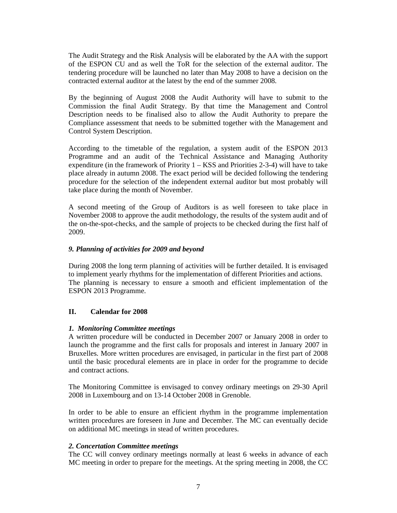The Audit Strategy and the Risk Analysis will be elaborated by the AA with the support of the ESPON CU and as well the ToR for the selection of the external auditor. The tendering procedure will be launched no later than May 2008 to have a decision on the contracted external auditor at the latest by the end of the summer 2008.

By the beginning of August 2008 the Audit Authority will have to submit to the Commission the final Audit Strategy. By that time the Management and Control Description needs to be finalised also to allow the Audit Authority to prepare the Compliance assessment that needs to be submitted together with the Management and Control System Description.

According to the timetable of the regulation, a system audit of the ESPON 2013 Programme and an audit of the Technical Assistance and Managing Authority expenditure (in the framework of Priority  $1 - \text{KSS}$  and Priorities 2-3-4) will have to take place already in autumn 2008. The exact period will be decided following the tendering procedure for the selection of the independent external auditor but most probably will take place during the month of November.

A second meeting of the Group of Auditors is as well foreseen to take place in November 2008 to approve the audit methodology, the results of the system audit and of the on-the-spot-checks, and the sample of projects to be checked during the first half of 2009.

## *9. Planning of activities for 2009 and beyond*

During 2008 the long term planning of activities will be further detailed. It is envisaged to implement yearly rhythms for the implementation of different Priorities and actions. The planning is necessary to ensure a smooth and efficient implementation of the ESPON 2013 Programme.

#### **II. Calendar for 2008**

#### *1. Monitoring Committee meetings*

A written procedure will be conducted in December 2007 or January 2008 in order to launch the programme and the first calls for proposals and interest in January 2007 in Bruxelles. More written procedures are envisaged, in particular in the first part of 2008 until the basic procedural elements are in place in order for the programme to decide and contract actions.

The Monitoring Committee is envisaged to convey ordinary meetings on 29-30 April 2008 in Luxembourg and on 13-14 October 2008 in Grenoble.

In order to be able to ensure an efficient rhythm in the programme implementation written procedures are foreseen in June and December. The MC can eventually decide on additional MC meetings in stead of written procedures.

#### *2. Concertation Committee meetings*

The CC will convey ordinary meetings normally at least 6 weeks in advance of each MC meeting in order to prepare for the meetings. At the spring meeting in 2008, the CC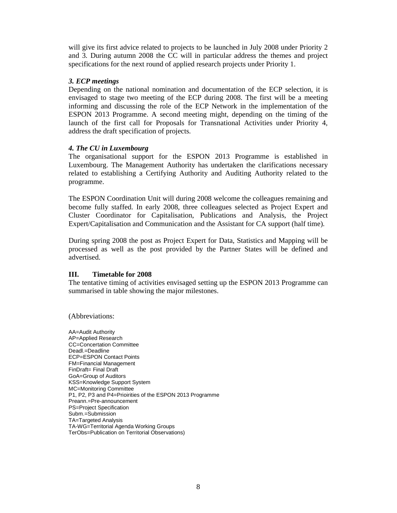will give its first advice related to projects to be launched in July 2008 under Priority 2 and 3. During autumn 2008 the CC will in particular address the themes and project specifications for the next round of applied research projects under Priority 1.

#### *3. ECP meetings*

Depending on the national nomination and documentation of the ECP selection, it is envisaged to stage two meeting of the ECP during 2008. The first will be a meeting informing and discussing the role of the ECP Network in the implementation of the ESPON 2013 Programme. A second meeting might, depending on the timing of the launch of the first call for Proposals for Transnational Activities under Priority 4, address the draft specification of projects.

#### *4. The CU in Luxembourg*

The organisational support for the ESPON 2013 Programme is established in Luxembourg. The Management Authority has undertaken the clarifications necessary related to establishing a Certifying Authority and Auditing Authority related to the programme.

The ESPON Coordination Unit will during 2008 welcome the colleagues remaining and become fully staffed. In early 2008, three colleagues selected as Project Expert and Cluster Coordinator for Capitalisation, Publications and Analysis, the Project Expert/Capitalisation and Communication and the Assistant for CA support (half time).

During spring 2008 the post as Project Expert for Data, Statistics and Mapping will be processed as well as the post provided by the Partner States will be defined and advertised.

#### **III. Timetable for 2008**

The tentative timing of activities envisaged setting up the ESPON 2013 Programme can summarised in table showing the major milestones.

(Abbreviations:

AA=Audit Authority AP=Applied Research CC=Concertation Committee Deadl.=Deadline ECP=ESPON Contact Points FM=Financial Management FinDraft= Final Draft GoA=Group of Auditors KSS=Knowledge Support System MC=Monitoring Committee P1, P2, P3 and P4=Prioirities of the ESPON 2013 Programme Preann.=Pre-announcement PS=Project Specification Subm.=Submission TA=Targeted Analysis TA-WG=Territorial Agenda Working Groups TerObs=Publication on Territorial Observations)